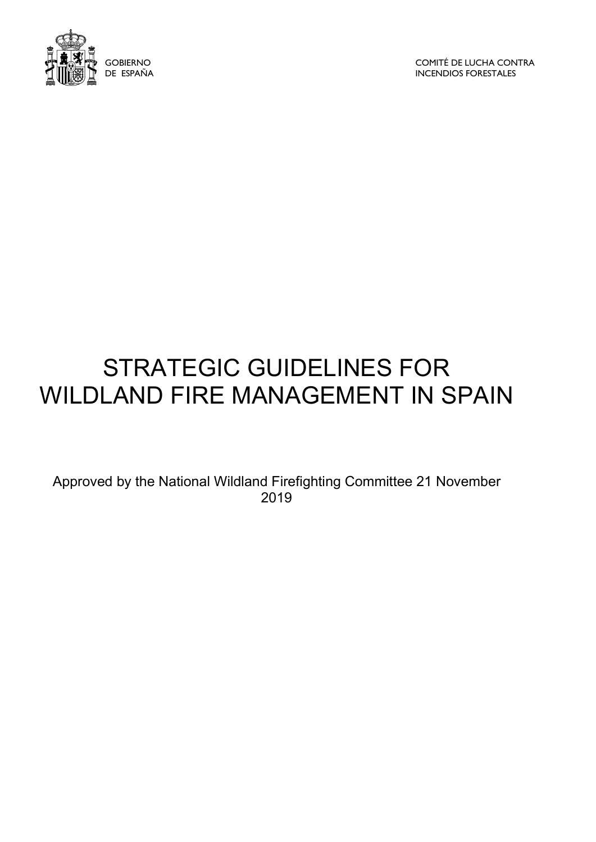

COMITÉ DE LUCHA CONTRA INCENDIOS FORESTALES

# STRATEGIC GUIDELINES FOR WILDLAND FIRE MANAGEMENT IN SPAIN

Approved by the National Wildland Firefighting Committee 21 November 2019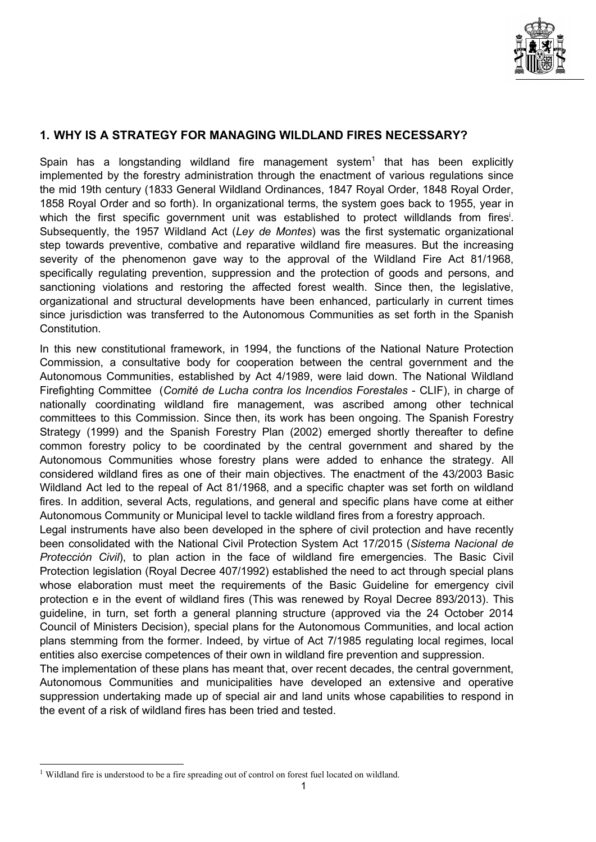

## 1. WHY IS A STRATEGY FOR MANAGING WILDLAND FIRES NECESSARY?

Spain has a longstanding wildland fire management system<sup>1</sup> that has been explicitly implemented by the forestry administration through the enactment of various regulations since the mid 19th century (1833 General Wildland Ordinances, 1847 Royal Order, 1848 Royal Order, 1858 Royal Order and so forth). In organizational terms, the system goes back to 1955, year in which the first specific government unit was established to protect willdlands from fires<sup>i</sup>. Subsequently, the 1957 Wildland Act (Ley de Montes) was the first systematic organizational step towards preventive, combative and reparative wildland fire measures. But the increasing severity of the phenomenon gave way to the approval of the Wildland Fire Act 81/1968, specifically regulating prevention, suppression and the protection of goods and persons, and sanctioning violations and restoring the affected forest wealth. Since then, the legislative, organizational and structural developments have been enhanced, particularly in current times since jurisdiction was transferred to the Autonomous Communities as set forth in the Spanish Constitution.

In this new constitutional framework, in 1994, the functions of the National Nature Protection Commission, a consultative body for cooperation between the central government and the Autonomous Communities, established by Act 4/1989, were laid down. The National Wildland Firefighting Committee (Comité de Lucha contra los Incendios Forestales - CLIF), in charge of nationally coordinating wildland fire management, was ascribed among other technical committees to this Commission. Since then, its work has been ongoing. The Spanish Forestry Strategy (1999) and the Spanish Forestry Plan (2002) emerged shortly thereafter to define common forestry policy to be coordinated by the central government and shared by the Autonomous Communities whose forestry plans were added to enhance the strategy. All considered wildland fires as one of their main objectives. The enactment of the 43/2003 Basic Wildland Act led to the repeal of Act 81/1968, and a specific chapter was set forth on wildland fires. In addition, several Acts, regulations, and general and specific plans have come at either Autonomous Community or Municipal level to tackle wildland fires from a forestry approach.

Legal instruments have also been developed in the sphere of civil protection and have recently been consolidated with the National Civil Protection System Act 17/2015 (Sistema Nacional de Protección Civil), to plan action in the face of wildland fire emergencies. The Basic Civil Protection legislation (Royal Decree 407/1992) established the need to act through special plans whose elaboration must meet the requirements of the Basic Guideline for emergency civil protection e in the event of wildland fires (This was renewed by Royal Decree 893/2013). This guideline, in turn, set forth a general planning structure (approved via the 24 October 2014 Council of Ministers Decision), special plans for the Autonomous Communities, and local action plans stemming from the former. Indeed, by virtue of Act 7/1985 regulating local regimes, local entities also exercise competences of their own in wildland fire prevention and suppression.

The implementation of these plans has meant that, over recent decades, the central government, Autonomous Communities and municipalities have developed an extensive and operative suppression undertaking made up of special air and land units whose capabilities to respond in the event of a risk of wildland fires has been tried and tested.

<sup>&</sup>lt;sup>1</sup> Wildland fire is understood to be a fire spreading out of control on forest fuel located on wildland.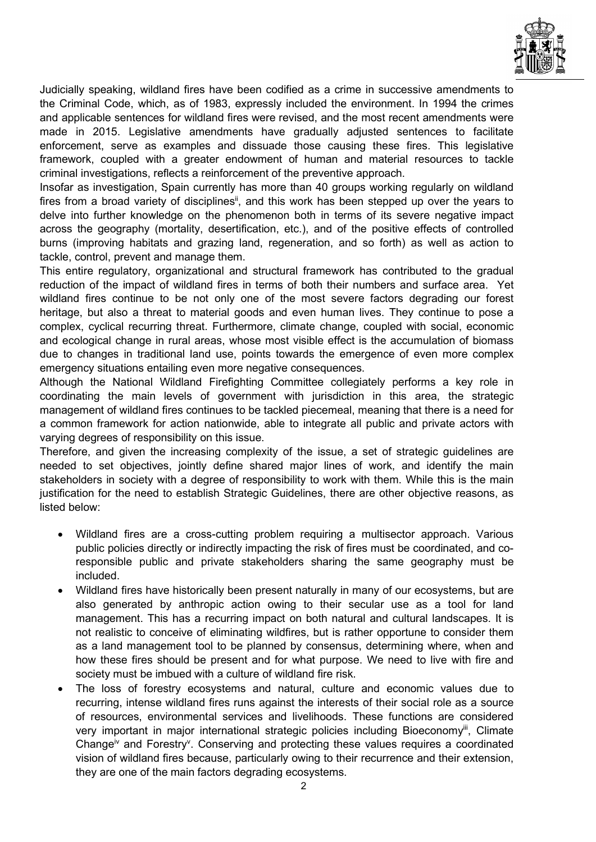

Judicially speaking, wildland fires have been codified as a crime in successive amendments to the Criminal Code, which, as of 1983, expressly included the environment. In 1994 the crimes and applicable sentences for wildland fires were revised, and the most recent amendments were made in 2015. Legislative amendments have gradually adjusted sentences to facilitate enforcement, serve as examples and dissuade those causing these fires. This legislative framework, coupled with a greater endowment of human and material resources to tackle criminal investigations, reflects a reinforcement of the preventive approach.

Insofar as investigation, Spain currently has more than 40 groups working regularly on wildland fires from a broad variety of disciplines<sup>ii</sup>, and this work has been stepped up over the years to delve into further knowledge on the phenomenon both in terms of its severe negative impact across the geography (mortality, desertification, etc.), and of the positive effects of controlled burns (improving habitats and grazing land, regeneration, and so forth) as well as action to tackle, control, prevent and manage them.

This entire regulatory, organizational and structural framework has contributed to the gradual reduction of the impact of wildland fires in terms of both their numbers and surface area. Yet wildland fires continue to be not only one of the most severe factors degrading our forest heritage, but also a threat to material goods and even human lives. They continue to pose a complex, cyclical recurring threat. Furthermore, climate change, coupled with social, economic and ecological change in rural areas, whose most visible effect is the accumulation of biomass due to changes in traditional land use, points towards the emergence of even more complex emergency situations entailing even more negative consequences.

Although the National Wildland Firefighting Committee collegiately performs a key role in coordinating the main levels of government with jurisdiction in this area, the strategic management of wildland fires continues to be tackled piecemeal, meaning that there is a need for a common framework for action nationwide, able to integrate all public and private actors with varying degrees of responsibility on this issue.

Therefore, and given the increasing complexity of the issue, a set of strategic guidelines are needed to set objectives, jointly define shared major lines of work, and identify the main stakeholders in society with a degree of responsibility to work with them. While this is the main justification for the need to establish Strategic Guidelines, there are other objective reasons, as listed below:

- Wildland fires are a cross-cutting problem requiring a multisector approach. Various public policies directly or indirectly impacting the risk of fires must be coordinated, and coresponsible public and private stakeholders sharing the same geography must be included.
- Wildland fires have historically been present naturally in many of our ecosystems, but are also generated by anthropic action owing to their secular use as a tool for land management. This has a recurring impact on both natural and cultural landscapes. It is not realistic to conceive of eliminating wildfires, but is rather opportune to consider them as a land management tool to be planned by consensus, determining where, when and how these fires should be present and for what purpose. We need to live with fire and society must be imbued with a culture of wildland fire risk.
- The loss of forestry ecosystems and natural, culture and economic values due to recurring, intense wildland fires runs against the interests of their social role as a source of resources, environmental services and livelihoods. These functions are considered very important in major international strategic policies including Bioeconomy<sup>iii</sup>, Climate Change<sup>iv</sup> and Forestry<sup>v</sup>. Conserving and protecting these values requires a coordinated vision of wildland fires because, particularly owing to their recurrence and their extension, they are one of the main factors degrading ecosystems.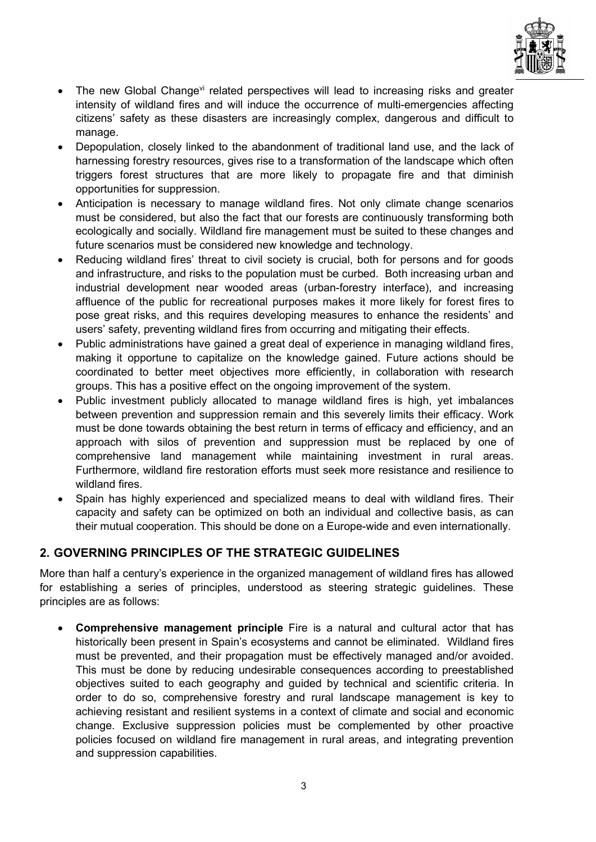

- The new Global Change<sup>vi</sup> related perspectives will lead to increasing risks and greater intensity of wildland fires and will induce the occurrence of multi-emergencies affecting citizens' safety as these disasters are increasingly complex, dangerous and difficult to manage.
- Depopulation, closely linked to the abandonment of traditional land use, and the lack of harnessing forestry resources, gives rise to a transformation of the landscape which often triggers forest structures that are more likely to propagate fire and that diminish opportunities for suppression.
- Anticipation is necessary to manage wildland fires. Not only climate change scenarios must be considered, but also the fact that our forests are continuously transforming both ecologically and socially. Wildland fire management must be suited to these changes and future scenarios must be considered new knowledge and technology.
- Reducing wildland fires' threat to civil society is crucial, both for persons and for goods and infrastructure, and risks to the population must be curbed. Both increasing urban and industrial development near wooded areas (urban-forestry interface), and increasing affluence of the public for recreational purposes makes it more likely for forest fires to pose great risks, and this requires developing measures to enhance the residents' and users' safety, preventing wildland fires from occurring and mitigating their effects.
- Public administrations have gained a great deal of experience in managing wildland fires, making it opportune to capitalize on the knowledge gained. Future actions should be coordinated to better meet objectives more efficiently, in collaboration with research groups. This has a positive effect on the ongoing improvement of the system.
- Public investment publicly allocated to manage wildland fires is high, yet imbalances between prevention and suppression remain and this severely limits their efficacy. Work must be done towards obtaining the best return in terms of efficacy and efficiency, and an approach with silos of prevention and suppression must be replaced by one of comprehensive land management while maintaining investment in rural areas. Furthermore, wildland fire restoration efforts must seek more resistance and resilience to wildland fires.
- Spain has highly experienced and specialized means to deal with wildland fires. Their capacity and safety can be optimized on both an individual and collective basis, as can their mutual cooperation. This should be done on a Europe-wide and even internationally.

# 2. GOVERNING PRINCIPLES OF THE STRATEGIC GUIDELINES

More than half a century's experience in the organized management of wildland fires has allowed for establishing a series of principles, understood as steering strategic guidelines. These principles are as follows:

 Comprehensive management principle Fire is a natural and cultural actor that has historically been present in Spain's ecosystems and cannot be eliminated. Wildland fires must be prevented, and their propagation must be effectively managed and/or avoided. This must be done by reducing undesirable consequences according to preestablished objectives suited to each geography and guided by technical and scientific criteria. In order to do so, comprehensive forestry and rural landscape management is key to achieving resistant and resilient systems in a context of climate and social and economic change. Exclusive suppression policies must be complemented by other proactive policies focused on wildland fire management in rural areas, and integrating prevention and suppression capabilities.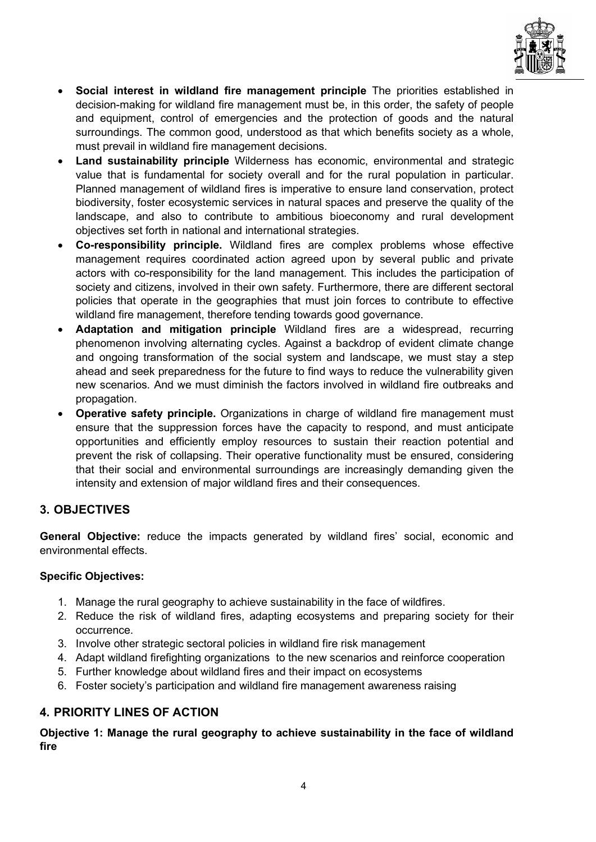

- Social interest in wildland fire management principle The priorities established in decision-making for wildland fire management must be, in this order, the safety of people and equipment, control of emergencies and the protection of goods and the natural surroundings. The common good, understood as that which benefits society as a whole, must prevail in wildland fire management decisions.
- Land sustainability principle Wilderness has economic, environmental and strategic value that is fundamental for society overall and for the rural population in particular. Planned management of wildland fires is imperative to ensure land conservation, protect biodiversity, foster ecosystemic services in natural spaces and preserve the quality of the landscape, and also to contribute to ambitious bioeconomy and rural development objectives set forth in national and international strategies.
- Co-responsibility principle. Wildland fires are complex problems whose effective management requires coordinated action agreed upon by several public and private actors with co-responsibility for the land management. This includes the participation of society and citizens, involved in their own safety. Furthermore, there are different sectoral policies that operate in the geographies that must join forces to contribute to effective wildland fire management, therefore tending towards good governance.
- Adaptation and mitigation principle Wildland fires are a widespread, recurring phenomenon involving alternating cycles. Against a backdrop of evident climate change and ongoing transformation of the social system and landscape, we must stay a step ahead and seek preparedness for the future to find ways to reduce the vulnerability given new scenarios. And we must diminish the factors involved in wildland fire outbreaks and propagation.
- Operative safety principle. Organizations in charge of wildland fire management must ensure that the suppression forces have the capacity to respond, and must anticipate opportunities and efficiently employ resources to sustain their reaction potential and prevent the risk of collapsing. Their operative functionality must be ensured, considering that their social and environmental surroundings are increasingly demanding given the intensity and extension of major wildland fires and their consequences.

# 3. OBJECTIVES

General Objective: reduce the impacts generated by wildland fires' social, economic and environmental effects.

# Specific Objectives:

- 1. Manage the rural geography to achieve sustainability in the face of wildfires.
- 2. Reduce the risk of wildland fires, adapting ecosystems and preparing society for their occurrence.
- 3. Involve other strategic sectoral policies in wildland fire risk management
- 4. Adapt wildland firefighting organizations to the new scenarios and reinforce cooperation
- 5. Further knowledge about wildland fires and their impact on ecosystems
- 6. Foster society's participation and wildland fire management awareness raising

# 4. PRIORITY LINES OF ACTION

Objective 1: Manage the rural geography to achieve sustainability in the face of wildland fire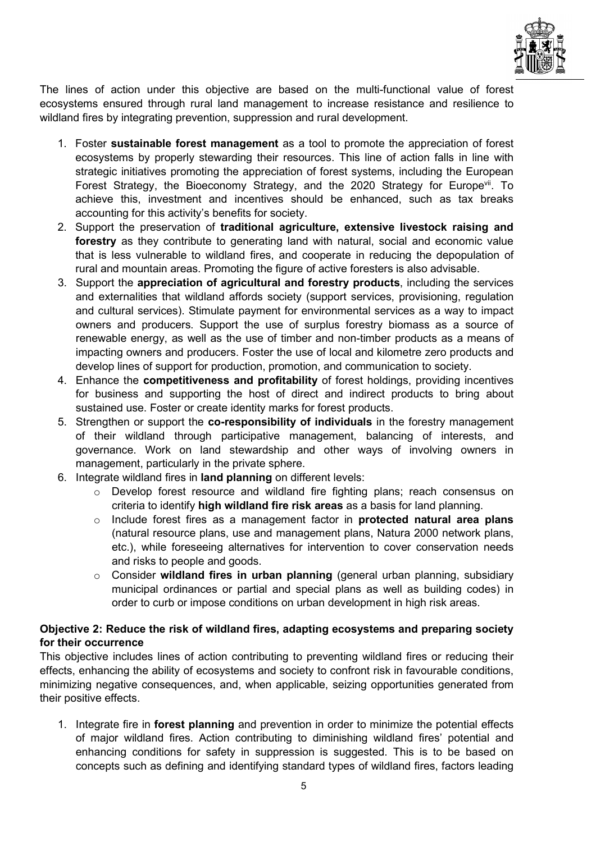

The lines of action under this objective are based on the multi-functional value of forest ecosystems ensured through rural land management to increase resistance and resilience to wildland fires by integrating prevention, suppression and rural development.

- 1. Foster sustainable forest management as a tool to promote the appreciation of forest ecosystems by properly stewarding their resources. This line of action falls in line with strategic initiatives promoting the appreciation of forest systems, including the European Forest Strategy, the Bioeconomy Strategy, and the 2020 Strategy for Europe<sup>vii</sup>. To achieve this, investment and incentives should be enhanced, such as tax breaks accounting for this activity's benefits for society.
- 2. Support the preservation of traditional agriculture, extensive livestock raising and forestry as they contribute to generating land with natural, social and economic value that is less vulnerable to wildland fires, and cooperate in reducing the depopulation of rural and mountain areas. Promoting the figure of active foresters is also advisable.
- 3. Support the appreciation of agricultural and forestry products, including the services and externalities that wildland affords society (support services, provisioning, regulation and cultural services). Stimulate payment for environmental services as a way to impact owners and producers. Support the use of surplus forestry biomass as a source of renewable energy, as well as the use of timber and non-timber products as a means of impacting owners and producers. Foster the use of local and kilometre zero products and develop lines of support for production, promotion, and communication to society.
- 4. Enhance the competitiveness and profitability of forest holdings, providing incentives for business and supporting the host of direct and indirect products to bring about sustained use. Foster or create identity marks for forest products.
- 5. Strengthen or support the co-responsibility of individuals in the forestry management of their wildland through participative management, balancing of interests, and governance. Work on land stewardship and other ways of involving owners in management, particularly in the private sphere.
- 6. Integrate wildland fires in land planning on different levels:
	- o Develop forest resource and wildland fire fighting plans; reach consensus on criteria to identify high wildland fire risk areas as a basis for land planning.
	- o Include forest fires as a management factor in protected natural area plans (natural resource plans, use and management plans, Natura 2000 network plans, etc.), while foreseeing alternatives for intervention to cover conservation needs and risks to people and goods.
	- o Consider wildland fires in urban planning (general urban planning, subsidiary municipal ordinances or partial and special plans as well as building codes) in order to curb or impose conditions on urban development in high risk areas.

#### Objective 2: Reduce the risk of wildland fires, adapting ecosystems and preparing society for their occurrence

This objective includes lines of action contributing to preventing wildland fires or reducing their effects, enhancing the ability of ecosystems and society to confront risk in favourable conditions, minimizing negative consequences, and, when applicable, seizing opportunities generated from their positive effects.

1. Integrate fire in forest planning and prevention in order to minimize the potential effects of major wildland fires. Action contributing to diminishing wildland fires' potential and enhancing conditions for safety in suppression is suggested. This is to be based on concepts such as defining and identifying standard types of wildland fires, factors leading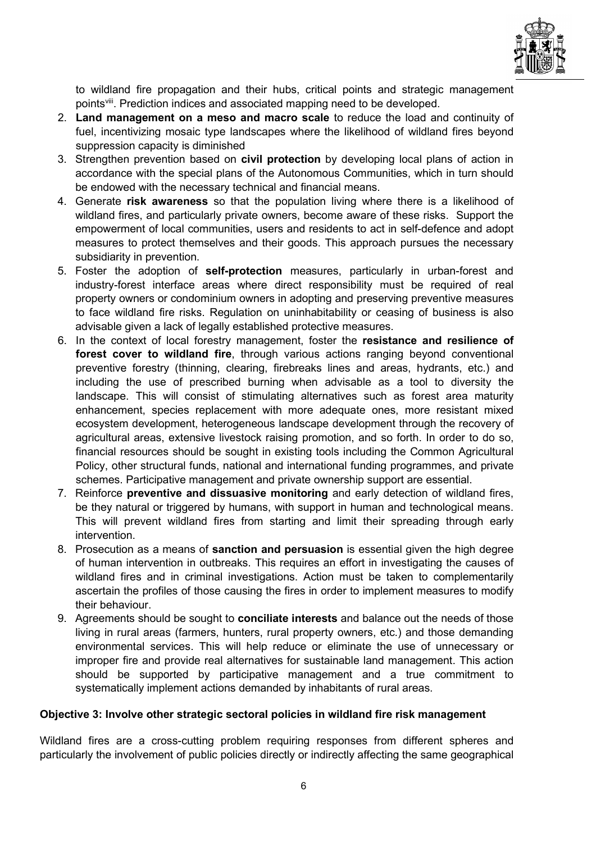

to wildland fire propagation and their hubs, critical points and strategic management pointsviii. Prediction indices and associated mapping need to be developed.

- 2. Land management on a meso and macro scale to reduce the load and continuity of fuel, incentivizing mosaic type landscapes where the likelihood of wildland fires beyond suppression capacity is diminished
- 3. Strengthen prevention based on civil protection by developing local plans of action in accordance with the special plans of the Autonomous Communities, which in turn should be endowed with the necessary technical and financial means.
- 4. Generate risk awareness so that the population living where there is a likelihood of wildland fires, and particularly private owners, become aware of these risks. Support the empowerment of local communities, users and residents to act in self-defence and adopt measures to protect themselves and their goods. This approach pursues the necessary subsidiarity in prevention.
- 5. Foster the adoption of self-protection measures, particularly in urban-forest and industry-forest interface areas where direct responsibility must be required of real property owners or condominium owners in adopting and preserving preventive measures to face wildland fire risks. Regulation on uninhabitability or ceasing of business is also advisable given a lack of legally established protective measures.
- 6. In the context of local forestry management, foster the resistance and resilience of forest cover to wildland fire, through various actions ranging beyond conventional preventive forestry (thinning, clearing, firebreaks lines and areas, hydrants, etc.) and including the use of prescribed burning when advisable as a tool to diversity the landscape. This will consist of stimulating alternatives such as forest area maturity enhancement, species replacement with more adequate ones, more resistant mixed ecosystem development, heterogeneous landscape development through the recovery of agricultural areas, extensive livestock raising promotion, and so forth. In order to do so, financial resources should be sought in existing tools including the Common Agricultural Policy, other structural funds, national and international funding programmes, and private schemes. Participative management and private ownership support are essential.
- 7. Reinforce preventive and dissuasive monitoring and early detection of wildland fires, be they natural or triggered by humans, with support in human and technological means. This will prevent wildland fires from starting and limit their spreading through early intervention.
- 8. Prosecution as a means of sanction and persuasion is essential given the high degree of human intervention in outbreaks. This requires an effort in investigating the causes of wildland fires and in criminal investigations. Action must be taken to complementarily ascertain the profiles of those causing the fires in order to implement measures to modify their behaviour.
- 9. Agreements should be sought to **conciliate interests** and balance out the needs of those living in rural areas (farmers, hunters, rural property owners, etc.) and those demanding environmental services. This will help reduce or eliminate the use of unnecessary or improper fire and provide real alternatives for sustainable land management. This action should be supported by participative management and a true commitment to systematically implement actions demanded by inhabitants of rural areas.

#### Objective 3: Involve other strategic sectoral policies in wildland fire risk management

Wildland fires are a cross-cutting problem requiring responses from different spheres and particularly the involvement of public policies directly or indirectly affecting the same geographical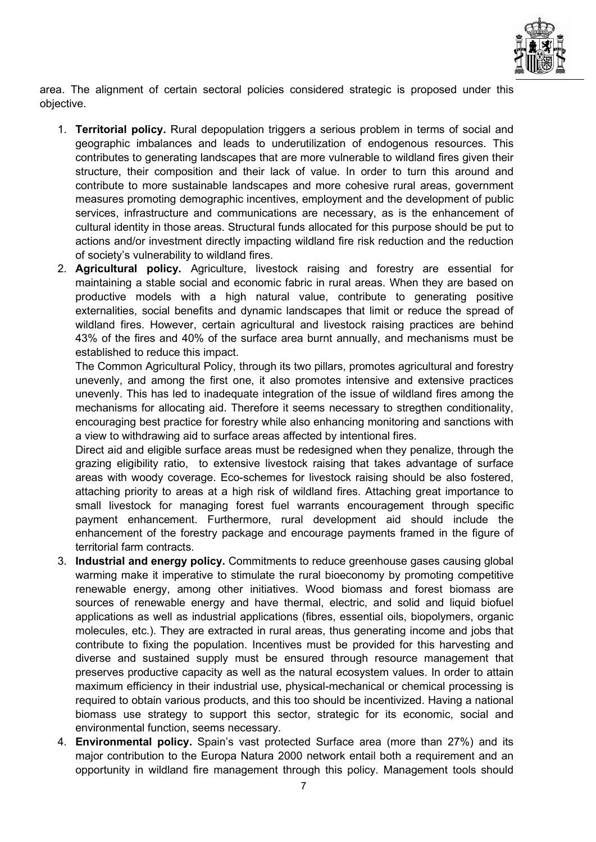

area. The alignment of certain sectoral policies considered strategic is proposed under this objective.

- 1. Territorial policy. Rural depopulation triggers a serious problem in terms of social and geographic imbalances and leads to underutilization of endogenous resources. This contributes to generating landscapes that are more vulnerable to wildland fires given their structure, their composition and their lack of value. In order to turn this around and contribute to more sustainable landscapes and more cohesive rural areas, government measures promoting demographic incentives, employment and the development of public services, infrastructure and communications are necessary, as is the enhancement of cultural identity in those areas. Structural funds allocated for this purpose should be put to actions and/or investment directly impacting wildland fire risk reduction and the reduction of society's vulnerability to wildland fires.
- 2. Agricultural policy. Agriculture, livestock raising and forestry are essential for maintaining a stable social and economic fabric in rural areas. When they are based on productive models with a high natural value, contribute to generating positive externalities, social benefits and dynamic landscapes that limit or reduce the spread of wildland fires. However, certain agricultural and livestock raising practices are behind 43% of the fires and 40% of the surface area burnt annually, and mechanisms must be established to reduce this impact.

The Common Agricultural Policy, through its two pillars, promotes agricultural and forestry unevenly, and among the first one, it also promotes intensive and extensive practices unevenly. This has led to inadequate integration of the issue of wildland fires among the mechanisms for allocating aid. Therefore it seems necessary to stregthen conditionality, encouraging best practice for forestry while also enhancing monitoring and sanctions with a view to withdrawing aid to surface areas affected by intentional fires.

Direct aid and eligible surface areas must be redesigned when they penalize, through the grazing eligibility ratio, to extensive livestock raising that takes advantage of surface areas with woody coverage. Eco-schemes for livestock raising should be also fostered, attaching priority to areas at a high risk of wildland fires. Attaching great importance to small livestock for managing forest fuel warrants encouragement through specific payment enhancement. Furthermore, rural development aid should include the enhancement of the forestry package and encourage payments framed in the figure of territorial farm contracts.

- 3. Industrial and energy policy. Commitments to reduce greenhouse gases causing global warming make it imperative to stimulate the rural bioeconomy by promoting competitive renewable energy, among other initiatives. Wood biomass and forest biomass are sources of renewable energy and have thermal, electric, and solid and liquid biofuel applications as well as industrial applications (fibres, essential oils, biopolymers, organic molecules, etc.). They are extracted in rural areas, thus generating income and jobs that contribute to fixing the population. Incentives must be provided for this harvesting and diverse and sustained supply must be ensured through resource management that preserves productive capacity as well as the natural ecosystem values. In order to attain maximum efficiency in their industrial use, physical-mechanical or chemical processing is required to obtain various products, and this too should be incentivized. Having a national biomass use strategy to support this sector, strategic for its economic, social and environmental function, seems necessary.
- 4. **Environmental policy.** Spain's vast protected Surface area (more than 27%) and its major contribution to the Europa Natura 2000 network entail both a requirement and an opportunity in wildland fire management through this policy. Management tools should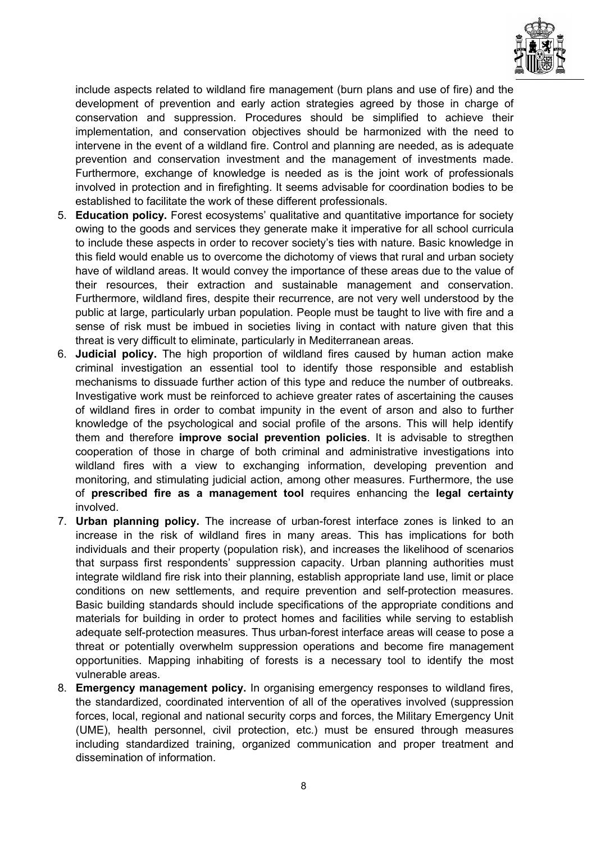

include aspects related to wildland fire management (burn plans and use of fire) and the development of prevention and early action strategies agreed by those in charge of conservation and suppression. Procedures should be simplified to achieve their implementation, and conservation objectives should be harmonized with the need to intervene in the event of a wildland fire. Control and planning are needed, as is adequate prevention and conservation investment and the management of investments made. Furthermore, exchange of knowledge is needed as is the joint work of professionals involved in protection and in firefighting. It seems advisable for coordination bodies to be established to facilitate the work of these different professionals.

- 5. Education policy. Forest ecosystems' qualitative and quantitative importance for society owing to the goods and services they generate make it imperative for all school curricula to include these aspects in order to recover society's ties with nature. Basic knowledge in this field would enable us to overcome the dichotomy of views that rural and urban society have of wildland areas. It would convey the importance of these areas due to the value of their resources, their extraction and sustainable management and conservation. Furthermore, wildland fires, despite their recurrence, are not very well understood by the public at large, particularly urban population. People must be taught to live with fire and a sense of risk must be imbued in societies living in contact with nature given that this threat is very difficult to eliminate, particularly in Mediterranean areas.
- 6. Judicial policy. The high proportion of wildland fires caused by human action make criminal investigation an essential tool to identify those responsible and establish mechanisms to dissuade further action of this type and reduce the number of outbreaks. Investigative work must be reinforced to achieve greater rates of ascertaining the causes of wildland fires in order to combat impunity in the event of arson and also to further knowledge of the psychological and social profile of the arsons. This will help identify them and therefore **improve social prevention policies**. It is advisable to stregthen cooperation of those in charge of both criminal and administrative investigations into wildland fires with a view to exchanging information, developing prevention and monitoring, and stimulating judicial action, among other measures. Furthermore, the use of prescribed fire as a management tool requires enhancing the legal certainty involved.
- 7. Urban planning policy. The increase of urban-forest interface zones is linked to an increase in the risk of wildland fires in many areas. This has implications for both individuals and their property (population risk), and increases the likelihood of scenarios that surpass first respondents' suppression capacity. Urban planning authorities must integrate wildland fire risk into their planning, establish appropriate land use, limit or place conditions on new settlements, and require prevention and self-protection measures. Basic building standards should include specifications of the appropriate conditions and materials for building in order to protect homes and facilities while serving to establish adequate self-protection measures. Thus urban-forest interface areas will cease to pose a threat or potentially overwhelm suppression operations and become fire management opportunities. Mapping inhabiting of forests is a necessary tool to identify the most vulnerable areas.
- 8. Emergency management policy. In organising emergency responses to wildland fires, the standardized, coordinated intervention of all of the operatives involved (suppression forces, local, regional and national security corps and forces, the Military Emergency Unit (UME), health personnel, civil protection, etc.) must be ensured through measures including standardized training, organized communication and proper treatment and dissemination of information.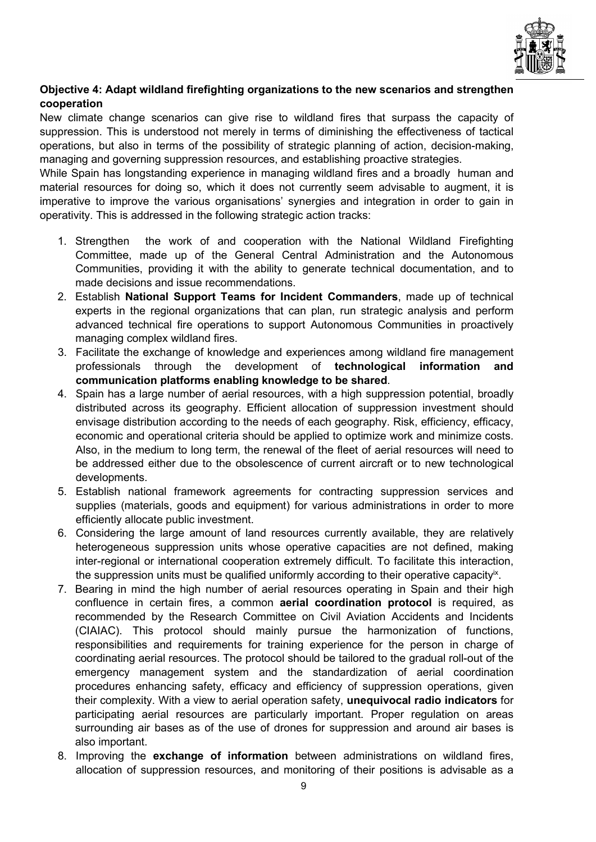

## Objective 4: Adapt wildland firefighting organizations to the new scenarios and strengthen cooperation

New climate change scenarios can give rise to wildland fires that surpass the capacity of suppression. This is understood not merely in terms of diminishing the effectiveness of tactical operations, but also in terms of the possibility of strategic planning of action, decision-making, managing and governing suppression resources, and establishing proactive strategies.

While Spain has longstanding experience in managing wildland fires and a broadly human and material resources for doing so, which it does not currently seem advisable to augment, it is imperative to improve the various organisations' synergies and integration in order to gain in operativity. This is addressed in the following strategic action tracks:

- 1. Strengthen the work of and cooperation with the National Wildland Firefighting Committee, made up of the General Central Administration and the Autonomous Communities, providing it with the ability to generate technical documentation, and to made decisions and issue recommendations.
- 2. Establish National Support Teams for Incident Commanders, made up of technical experts in the regional organizations that can plan, run strategic analysis and perform advanced technical fire operations to support Autonomous Communities in proactively managing complex wildland fires.
- 3. Facilitate the exchange of knowledge and experiences among wildland fire management professionals through the development of technological information and communication platforms enabling knowledge to be shared.
- 4. Spain has a large number of aerial resources, with a high suppression potential, broadly distributed across its geography. Efficient allocation of suppression investment should envisage distribution according to the needs of each geography. Risk, efficiency, efficacy, economic and operational criteria should be applied to optimize work and minimize costs. Also, in the medium to long term, the renewal of the fleet of aerial resources will need to be addressed either due to the obsolescence of current aircraft or to new technological developments.
- 5. Establish national framework agreements for contracting suppression services and supplies (materials, goods and equipment) for various administrations in order to more efficiently allocate public investment.
- 6. Considering the large amount of land resources currently available, they are relatively heterogeneous suppression units whose operative capacities are not defined, making inter-regional or international cooperation extremely difficult. To facilitate this interaction, the suppression units must be qualified uniformly according to their operative capacity<sup>ix</sup>.
- 7. Bearing in mind the high number of aerial resources operating in Spain and their high confluence in certain fires, a common **aerial coordination protocol** is required, as recommended by the Research Committee on Civil Aviation Accidents and Incidents (CIAIAC). This protocol should mainly pursue the harmonization of functions, responsibilities and requirements for training experience for the person in charge of coordinating aerial resources. The protocol should be tailored to the gradual roll-out of the emergency management system and the standardization of aerial coordination procedures enhancing safety, efficacy and efficiency of suppression operations, given their complexity. With a view to aerial operation safety, unequivocal radio indicators for participating aerial resources are particularly important. Proper regulation on areas surrounding air bases as of the use of drones for suppression and around air bases is also important.
- 8. Improving the exchange of information between administrations on wildland fires, allocation of suppression resources, and monitoring of their positions is advisable as a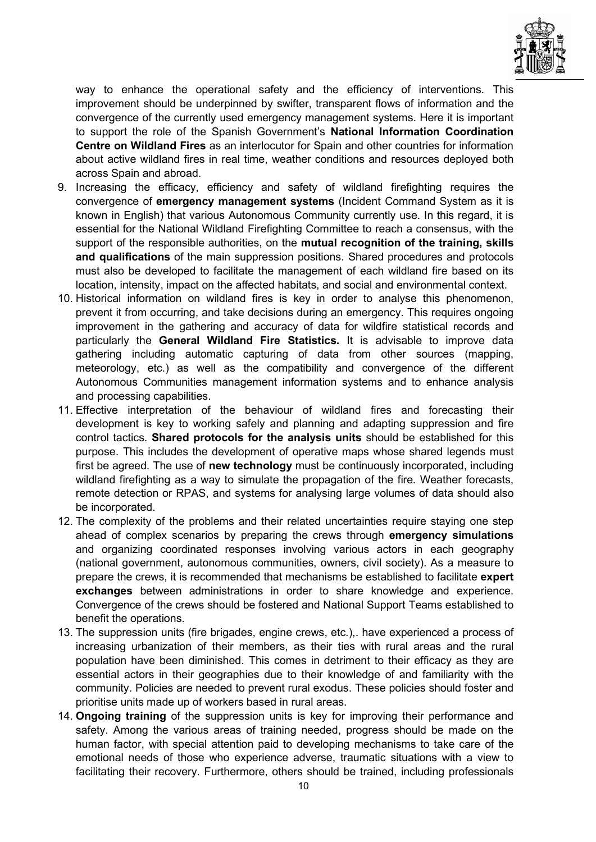

way to enhance the operational safety and the efficiency of interventions. This improvement should be underpinned by swifter, transparent flows of information and the convergence of the currently used emergency management systems. Here it is important to support the role of the Spanish Government's National Information Coordination Centre on Wildland Fires as an interlocutor for Spain and other countries for information about active wildland fires in real time, weather conditions and resources deployed both across Spain and abroad.

- 9. Increasing the efficacy, efficiency and safety of wildland firefighting requires the convergence of emergency management systems (Incident Command System as it is known in English) that various Autonomous Community currently use. In this regard, it is essential for the National Wildland Firefighting Committee to reach a consensus, with the support of the responsible authorities, on the mutual recognition of the training, skills and qualifications of the main suppression positions. Shared procedures and protocols must also be developed to facilitate the management of each wildland fire based on its location, intensity, impact on the affected habitats, and social and environmental context.
- 10. Historical information on wildland fires is key in order to analyse this phenomenon, prevent it from occurring, and take decisions during an emergency. This requires ongoing improvement in the gathering and accuracy of data for wildfire statistical records and particularly the General Wildland Fire Statistics. It is advisable to improve data gathering including automatic capturing of data from other sources (mapping, meteorology, etc.) as well as the compatibility and convergence of the different Autonomous Communities management information systems and to enhance analysis and processing capabilities.
- 11. Effective interpretation of the behaviour of wildland fires and forecasting their development is key to working safely and planning and adapting suppression and fire control tactics. Shared protocols for the analysis units should be established for this purpose. This includes the development of operative maps whose shared legends must first be agreed. The use of **new technology** must be continuously incorporated, including wildland firefighting as a way to simulate the propagation of the fire. Weather forecasts, remote detection or RPAS, and systems for analysing large volumes of data should also be incorporated.
- 12. The complexity of the problems and their related uncertainties require staying one step ahead of complex scenarios by preparing the crews through emergency simulations and organizing coordinated responses involving various actors in each geography (national government, autonomous communities, owners, civil society). As a measure to prepare the crews, it is recommended that mechanisms be established to facilitate expert exchanges between administrations in order to share knowledge and experience. Convergence of the crews should be fostered and National Support Teams established to benefit the operations.
- 13. The suppression units (fire brigades, engine crews, etc.),. have experienced a process of increasing urbanization of their members, as their ties with rural areas and the rural population have been diminished. This comes in detriment to their efficacy as they are essential actors in their geographies due to their knowledge of and familiarity with the community. Policies are needed to prevent rural exodus. These policies should foster and prioritise units made up of workers based in rural areas.
- 14. Ongoing training of the suppression units is key for improving their performance and safety. Among the various areas of training needed, progress should be made on the human factor, with special attention paid to developing mechanisms to take care of the emotional needs of those who experience adverse, traumatic situations with a view to facilitating their recovery. Furthermore, others should be trained, including professionals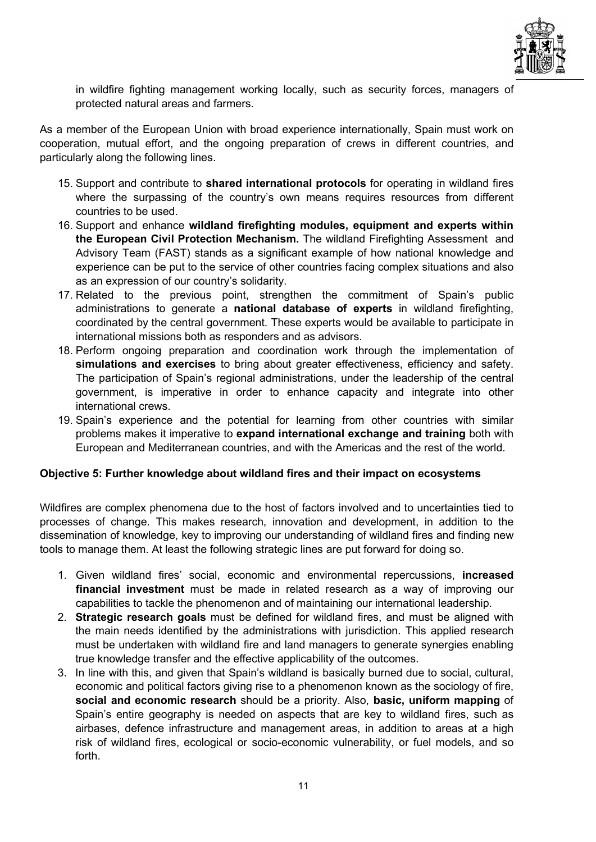

in wildfire fighting management working locally, such as security forces, managers of protected natural areas and farmers.

As a member of the European Union with broad experience internationally, Spain must work on cooperation, mutual effort, and the ongoing preparation of crews in different countries, and particularly along the following lines.

- 15. Support and contribute to shared international protocols for operating in wildland fires where the surpassing of the country's own means requires resources from different countries to be used.
- 16. Support and enhance wildland firefighting modules, equipment and experts within the European Civil Protection Mechanism. The wildland Firefighting Assessment and Advisory Team (FAST) stands as a significant example of how national knowledge and experience can be put to the service of other countries facing complex situations and also as an expression of our country's solidarity.
- 17. Related to the previous point, strengthen the commitment of Spain's public administrations to generate a national database of experts in wildland firefighting, coordinated by the central government. These experts would be available to participate in international missions both as responders and as advisors.
- 18. Perform ongoing preparation and coordination work through the implementation of simulations and exercises to bring about greater effectiveness, efficiency and safety. The participation of Spain's regional administrations, under the leadership of the central government, is imperative in order to enhance capacity and integrate into other international crews.
- 19. Spain's experience and the potential for learning from other countries with similar problems makes it imperative to expand international exchange and training both with European and Mediterranean countries, and with the Americas and the rest of the world.

#### Objective 5: Further knowledge about wildland fires and their impact on ecosystems

Wildfires are complex phenomena due to the host of factors involved and to uncertainties tied to processes of change. This makes research, innovation and development, in addition to the dissemination of knowledge, key to improving our understanding of wildland fires and finding new tools to manage them. At least the following strategic lines are put forward for doing so.

- 1. Given wildland fires' social, economic and environmental repercussions, increased financial investment must be made in related research as a way of improving our capabilities to tackle the phenomenon and of maintaining our international leadership.
- 2. Strategic research goals must be defined for wildland fires, and must be aligned with the main needs identified by the administrations with jurisdiction. This applied research must be undertaken with wildland fire and land managers to generate synergies enabling true knowledge transfer and the effective applicability of the outcomes.
- 3. In line with this, and given that Spain's wildland is basically burned due to social, cultural, economic and political factors giving rise to a phenomenon known as the sociology of fire, social and economic research should be a priority. Also, basic, uniform mapping of Spain's entire geography is needed on aspects that are key to wildland fires, such as airbases, defence infrastructure and management areas, in addition to areas at a high risk of wildland fires, ecological or socio-economic vulnerability, or fuel models, and so forth.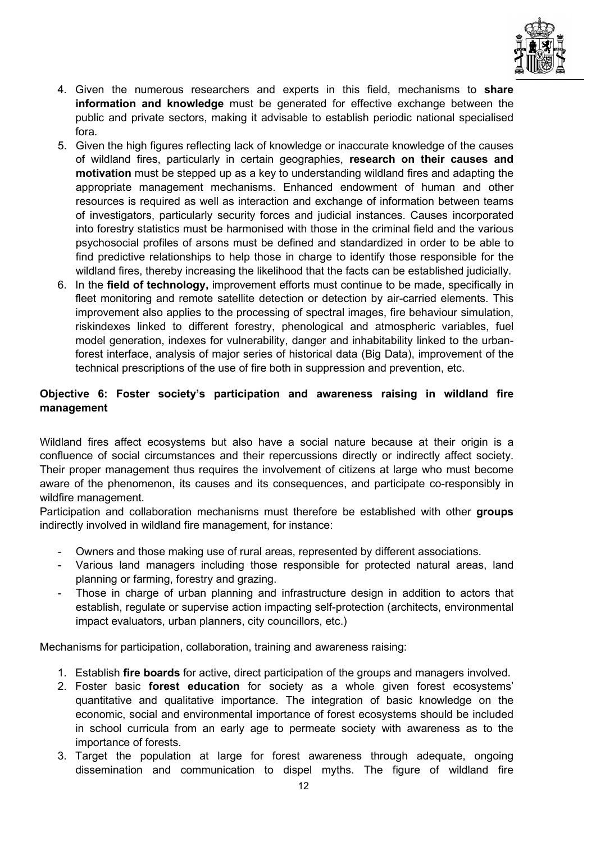

- 4. Given the numerous researchers and experts in this field, mechanisms to share information and knowledge must be generated for effective exchange between the public and private sectors, making it advisable to establish periodic national specialised fora.
- 5. Given the high figures reflecting lack of knowledge or inaccurate knowledge of the causes of wildland fires, particularly in certain geographies, research on their causes and motivation must be stepped up as a key to understanding wildland fires and adapting the appropriate management mechanisms. Enhanced endowment of human and other resources is required as well as interaction and exchange of information between teams of investigators, particularly security forces and judicial instances. Causes incorporated into forestry statistics must be harmonised with those in the criminal field and the various psychosocial profiles of arsons must be defined and standardized in order to be able to find predictive relationships to help those in charge to identify those responsible for the wildland fires, thereby increasing the likelihood that the facts can be established judicially.
- 6. In the field of technology, improvement efforts must continue to be made, specifically in fleet monitoring and remote satellite detection or detection by air-carried elements. This improvement also applies to the processing of spectral images, fire behaviour simulation, riskindexes linked to different forestry, phenological and atmospheric variables, fuel model generation, indexes for vulnerability, danger and inhabitability linked to the urbanforest interface, analysis of major series of historical data (Big Data), improvement of the technical prescriptions of the use of fire both in suppression and prevention, etc.

### Objective 6: Foster society's participation and awareness raising in wildland fire management

Wildland fires affect ecosystems but also have a social nature because at their origin is a confluence of social circumstances and their repercussions directly or indirectly affect society. Their proper management thus requires the involvement of citizens at large who must become aware of the phenomenon, its causes and its consequences, and participate co-responsibly in wildfire management.

Participation and collaboration mechanisms must therefore be established with other groups indirectly involved in wildland fire management, for instance:

- Owners and those making use of rural areas, represented by different associations.
- Various land managers including those responsible for protected natural areas, land planning or farming, forestry and grazing.
- Those in charge of urban planning and infrastructure design in addition to actors that establish, regulate or supervise action impacting self-protection (architects, environmental impact evaluators, urban planners, city councillors, etc.)

Mechanisms for participation, collaboration, training and awareness raising:

- 1. Establish fire boards for active, direct participation of the groups and managers involved.
- 2. Foster basic forest education for society as a whole given forest ecosystems' quantitative and qualitative importance. The integration of basic knowledge on the economic, social and environmental importance of forest ecosystems should be included in school curricula from an early age to permeate society with awareness as to the importance of forests.
- 3. Target the population at large for forest awareness through adequate, ongoing dissemination and communication to dispel myths. The figure of wildland fire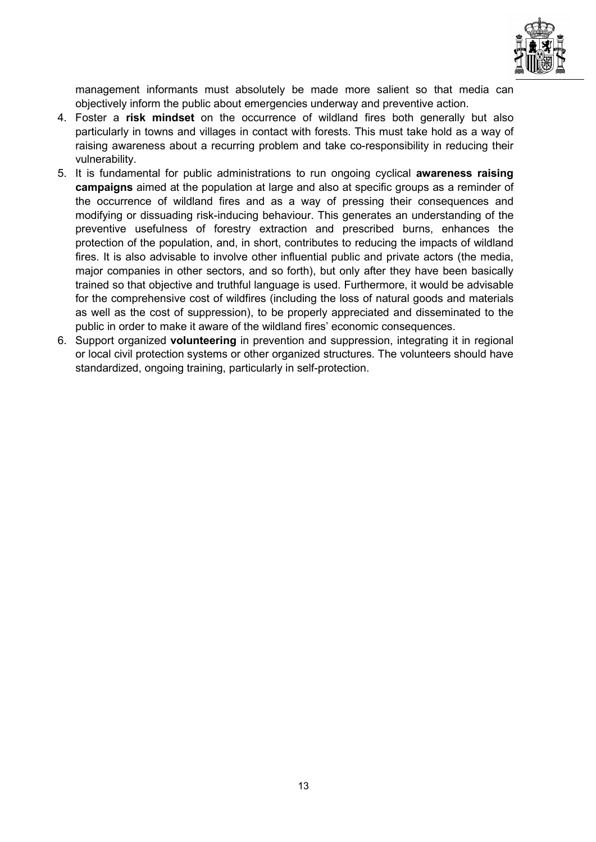

management informants must absolutely be made more salient so that media can objectively inform the public about emergencies underway and preventive action.

- 4. Foster a risk mindset on the occurrence of wildland fires both generally but also particularly in towns and villages in contact with forests. This must take hold as a way of raising awareness about a recurring problem and take co-responsibility in reducing their vulnerability.
- 5. It is fundamental for public administrations to run ongoing cyclical awareness raising campaigns aimed at the population at large and also at specific groups as a reminder of the occurrence of wildland fires and as a way of pressing their consequences and modifying or dissuading risk-inducing behaviour. This generates an understanding of the preventive usefulness of forestry extraction and prescribed burns, enhances the protection of the population, and, in short, contributes to reducing the impacts of wildland fires. It is also advisable to involve other influential public and private actors (the media, major companies in other sectors, and so forth), but only after they have been basically trained so that objective and truthful language is used. Furthermore, it would be advisable for the comprehensive cost of wildfires (including the loss of natural goods and materials as well as the cost of suppression), to be properly appreciated and disseminated to the public in order to make it aware of the wildland fires' economic consequences.
- 6. Support organized volunteering in prevention and suppression, integrating it in regional or local civil protection systems or other organized structures. The volunteers should have standardized, ongoing training, particularly in self-protection.